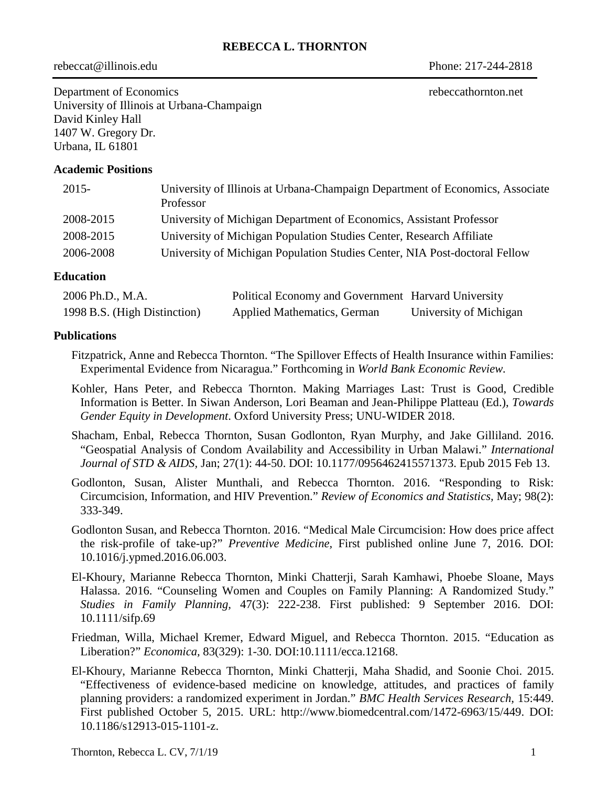## **REBECCA L. THORNTON**

rebeccat@illinois.edu Phone: 217-244-2818

Department of Economics rebeccathornton.net University of Illinois at Urbana-Champaign David Kinley Hall 1407 W. Gregory Dr. Urbana, IL 61801

### **Academic Positions**

| $2015 -$  | University of Illinois at Urbana-Champaign Department of Economics, Associate<br>Professor |
|-----------|--------------------------------------------------------------------------------------------|
| 2008-2015 | University of Michigan Department of Economics, Assistant Professor                        |
| 2008-2015 | University of Michigan Population Studies Center, Research Affiliate                       |
| 2006-2008 | University of Michigan Population Studies Center, NIA Post-doctoral Fellow                 |

#### **Education**

| 2006 Ph.D., M.A.             | Political Economy and Government Harvard University |                        |
|------------------------------|-----------------------------------------------------|------------------------|
| 1998 B.S. (High Distinction) | <b>Applied Mathematics, German</b>                  | University of Michigan |

#### **Publications**

- Fitzpatrick, Anne and Rebecca Thornton. "The Spillover Effects of Health Insurance within Families: Experimental Evidence from Nicaragua." Forthcoming in *World Bank Economic Review.*
- Kohler, Hans Peter, and Rebecca Thornton. Making Marriages Last: Trust is Good, Credible Information is Better. In Siwan Anderson, Lori Beaman and Jean-Philippe Platteau (Ed.), *Towards Gender Equity in Development*. Oxford University Press; UNU-WIDER 2018.
- Shacham, Enbal, Rebecca Thornton, Susan Godlonton, Ryan Murphy, and Jake Gilliland. 2016. "Geospatial Analysis of Condom Availability and Accessibility in Urban Malawi." *International Journal of STD & AIDS,* Jan; 27(1): 44-50. DOI: 10.1177/0956462415571373. Epub 2015 Feb 13.
- Godlonton, Susan, Alister Munthali, and Rebecca Thornton. 2016. "Responding to Risk: Circumcision, Information, and HIV Prevention." *Review of Economics and Statistics,* May; 98(2): 333-349.
- Godlonton Susan, and Rebecca Thornton. 2016. "Medical Male Circumcision: How does price affect the risk-profile of take-up?" *Preventive Medicine,* First published online June 7, 2016. DOI: 10.1016/j.ypmed.2016.06.003.
- El-Khoury, Marianne Rebecca Thornton, Minki Chatterji, Sarah Kamhawi, Phoebe Sloane, Mays Halassa. 2016. "Counseling Women and Couples on Family Planning: A Randomized Study." *Studies in Family Planning,* 47(3): 222-238. First published: 9 September 2016. DOI: 10.1111/sifp.69
- Friedman, Willa, Michael Kremer, Edward Miguel, and Rebecca Thornton. 2015. "Education as Liberation?" *Economica,* 83(329): 1-30. DOI:10.1111/ecca.12168.
- El-Khoury, Marianne Rebecca Thornton, Minki Chatterji, Maha Shadid, and Soonie Choi. 2015. "Effectiveness of evidence-based medicine on knowledge, attitudes, and practices of family planning providers: a randomized experiment in Jordan." *BMC Health Services Research,* 15:449. First published October 5, 2015. URL: http://www.biomedcentral.com/1472-6963/15/449. DOI: 10.1186/s12913-015-1101-z.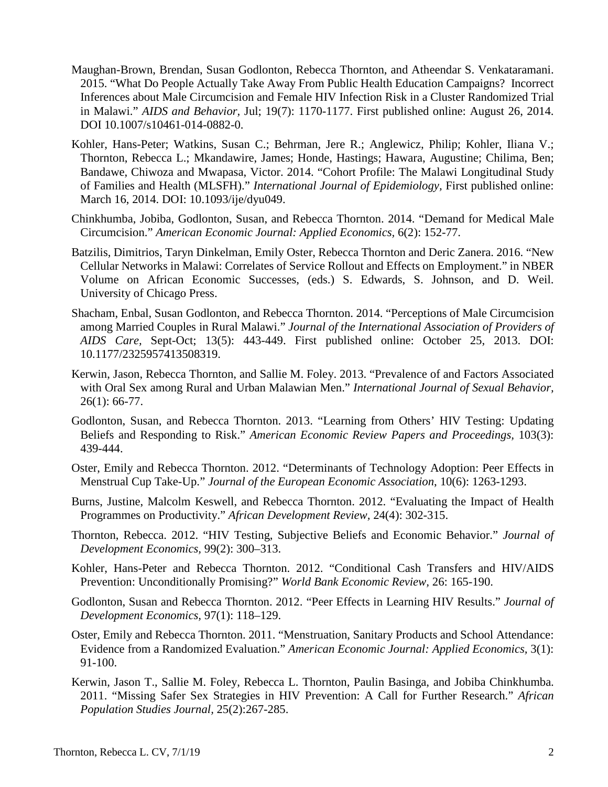- Maughan-Brown, Brendan, Susan Godlonton, Rebecca Thornton, and Atheendar S. Venkataramani. 2015. "What Do People Actually Take Away From Public Health Education Campaigns? Incorrect Inferences about Male Circumcision and Female HIV Infection Risk in a Cluster Randomized Trial in Malawi." *AIDS and Behavior,* Jul; 19(7): 1170-1177. First published online: August 26, 2014. DOI 10.1007/s10461-014-0882-0.
- Kohler, Hans-Peter; Watkins, Susan C.; Behrman, Jere R.; Anglewicz, Philip; Kohler, Iliana V.; Thornton, Rebecca L.; Mkandawire, James; Honde, Hastings; Hawara, Augustine; Chilima, Ben; Bandawe, Chiwoza and Mwapasa, Victor. 2014. "Cohort Profile: The Malawi Longitudinal Study of Families and Health (MLSFH)." *International Journal of Epidemiology,* First published online: March 16, 2014. DOI: 10.1093/ije/dyu049.
- Chinkhumba, Jobiba, Godlonton, Susan, and Rebecca Thornton. 2014. "Demand for Medical Male Circumcision." *American Economic Journal: Applied Economics,* 6(2): 152-77.
- Batzilis, Dimitrios, Taryn Dinkelman, Emily Oster, Rebecca Thornton and Deric Zanera. 2016. "New Cellular Networks in Malawi: Correlates of Service Rollout and Effects on Employment." in NBER Volume on African Economic Successes, (eds.) S. Edwards, S. Johnson, and D. Weil. University of Chicago Press.
- Shacham, Enbal, Susan Godlonton, and Rebecca Thornton. 2014. "Perceptions of Male Circumcision among Married Couples in Rural Malawi." *Journal of the International Association of Providers of AIDS Care,* Sept-Oct; 13(5): 443-449. First published online: October 25, 2013. DOI: 10.1177/2325957413508319.
- Kerwin, Jason, Rebecca Thornton, and Sallie M. Foley. 2013. "Prevalence of and Factors Associated with Oral Sex among Rural and Urban Malawian Men." *International Journal of Sexual Behavior,* 26(1): 66-77.
- Godlonton, Susan, and Rebecca Thornton. 2013. "Learning from Others' HIV Testing: Updating Beliefs and Responding to Risk." *American Economic Review Papers and Proceedings,* 103(3): 439-444.
- Oster, Emily and Rebecca Thornton. 2012. "Determinants of Technology Adoption: Peer Effects in Menstrual Cup Take-Up." *Journal of the European Economic Association*, 10(6): 1263-1293.
- Burns, Justine, Malcolm Keswell, and Rebecca Thornton. 2012. "Evaluating the Impact of Health Programmes on Productivity." *African Development Review,* 24(4): 302-315.
- Thornton, Rebecca. 2012. "HIV Testing, Subjective Beliefs and Economic Behavior." *Journal of Development Economics,* 99(2): 300–313.
- Kohler, Hans-Peter and Rebecca Thornton. 2012. "Conditional Cash Transfers and HIV/AIDS Prevention: Unconditionally Promising?" *World Bank Economic Review,* 26: 165-190.
- Godlonton, Susan and Rebecca Thornton. 2012. "Peer Effects in Learning HIV Results." *Journal of Development Economics,* 97(1): 118–129.
- Oster, Emily and Rebecca Thornton. 2011. "Menstruation, Sanitary Products and School Attendance: Evidence from a Randomized Evaluation." *American Economic Journal: Applied Economics,* 3(1): 91-100.
- Kerwin, Jason T., Sallie M. Foley, Rebecca L. Thornton, Paulin Basinga, and Jobiba Chinkhumba. 2011. "Missing Safer Sex Strategies in HIV Prevention: A Call for Further Research." *African Population Studies Journal,* 25(2):267-285.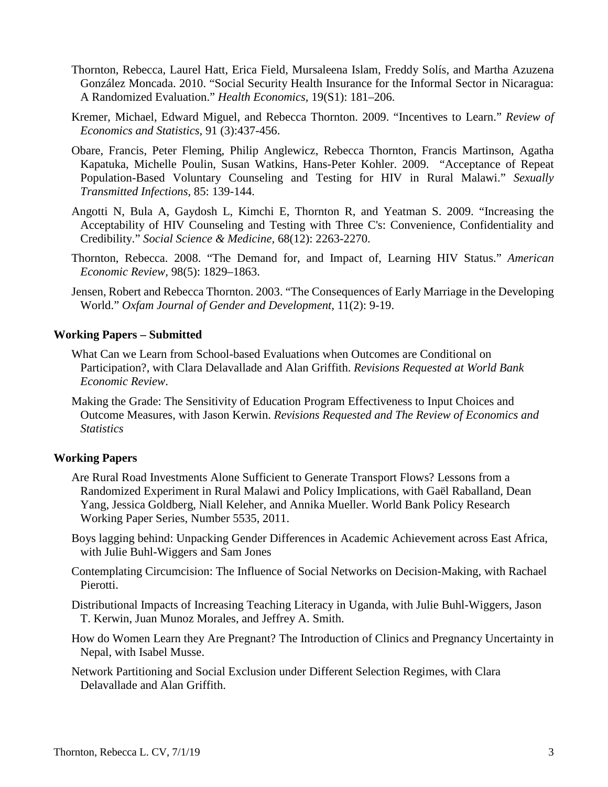- Thornton, Rebecca, Laurel Hatt, Erica Field, Mursaleena Islam, Freddy Solís, and Martha Azuzena González Moncada. 2010. "Social Security Health Insurance for the Informal Sector in Nicaragua: A Randomized Evaluation." *Health Economics,* 19(S1): 181–206.
- Kremer, Michael, Edward Miguel, and Rebecca Thornton. 2009. "Incentives to Learn." *Review of Economics and Statistics,* 91 (3):437-456.
- Obare, Francis, Peter Fleming, Philip Anglewicz, Rebecca Thornton, Francis Martinson, Agatha Kapatuka, Michelle Poulin, Susan Watkins, Hans-Peter Kohler. 2009. "Acceptance of Repeat Population-Based Voluntary Counseling and Testing for HIV in Rural Malawi." *Sexually Transmitted Infections,* 85: 139-144.
- Angotti N, Bula A, Gaydosh L, Kimchi E, Thornton R, and Yeatman S. 2009. "Increasing the Acceptability of HIV Counseling and Testing with Three C's: Convenience, Confidentiality and Credibility." *Social Science & Medicine,* 68(12): 2263-2270.
- Thornton, Rebecca. 2008. "The Demand for, and Impact of, Learning HIV Status." *American Economic Review,* 98(5): 1829–1863.
- Jensen, Robert and Rebecca Thornton. 2003. "The Consequences of Early Marriage in the Developing World." *Oxfam Journal of Gender and Development,* 11(2): 9-19.

## **Working Papers – Submitted**

- What Can we Learn from School-based Evaluations when Outcomes are Conditional on Participation?, with Clara Delavallade and Alan Griffith. *Revisions Requested at World Bank Economic Review*.
- Making the Grade: The Sensitivity of Education Program Effectiveness to Input Choices and Outcome Measures, with Jason Kerwin. *Revisions Requested and The Review of Economics and Statistics*

## **Working Papers**

- Are Rural Road Investments Alone Sufficient to Generate Transport Flows? Lessons from a Randomized Experiment in Rural Malawi and Policy Implications, with Gaël Raballand, Dean Yang, Jessica Goldberg, Niall Keleher, and Annika Mueller. World Bank Policy Research Working Paper Series, Number 5535, 2011.
- Boys lagging behind: Unpacking Gender Differences in Academic Achievement across East Africa, with Julie Buhl-Wiggers and Sam Jones
- Contemplating Circumcision: The Influence of Social Networks on Decision-Making, with Rachael Pierotti.
- Distributional Impacts of Increasing Teaching Literacy in Uganda, with Julie Buhl-Wiggers, Jason T. Kerwin, Juan Munoz Morales, and Jeffrey A. Smith.
- How do Women Learn they Are Pregnant? The Introduction of Clinics and Pregnancy Uncertainty in Nepal, with Isabel Musse.
- Network Partitioning and Social Exclusion under Different Selection Regimes, with Clara Delavallade and Alan Griffith.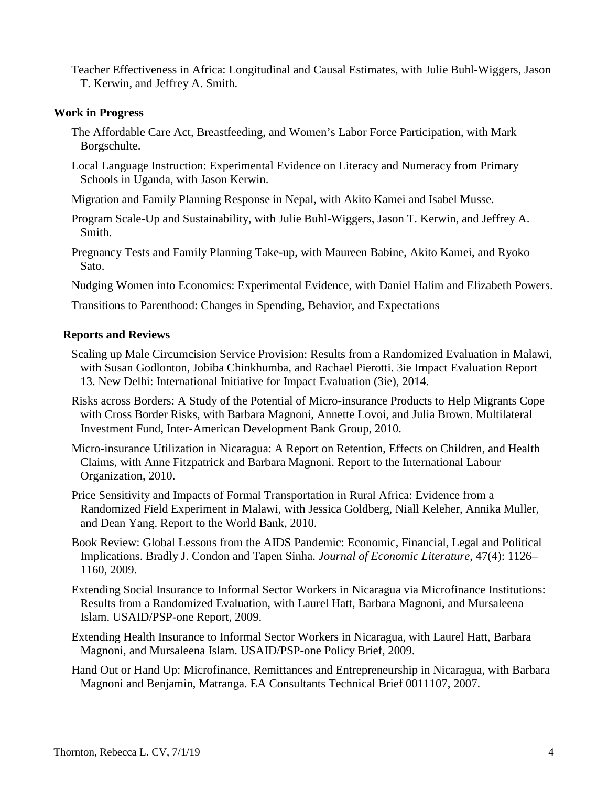Teacher Effectiveness in Africa: Longitudinal and Causal Estimates, with Julie Buhl-Wiggers, Jason T. Kerwin, and Jeffrey A. Smith.

### **Work in Progress**

- The Affordable Care Act, Breastfeeding, and Women's Labor Force Participation, with Mark Borgschulte.
- Local Language Instruction: Experimental Evidence on Literacy and Numeracy from Primary Schools in Uganda, with Jason Kerwin.
- Migration and Family Planning Response in Nepal, with Akito Kamei and Isabel Musse.
- Program Scale-Up and Sustainability, with Julie Buhl-Wiggers, Jason T. Kerwin, and Jeffrey A. Smith.
- Pregnancy Tests and Family Planning Take-up, with Maureen Babine, Akito Kamei, and Ryoko Sato.

Nudging Women into Economics: Experimental Evidence, with Daniel Halim and Elizabeth Powers.

Transitions to Parenthood: Changes in Spending, Behavior, and Expectations

#### **Reports and Reviews**

- Scaling up Male Circumcision Service Provision: Results from a Randomized Evaluation in Malawi, with Susan Godlonton, Jobiba Chinkhumba, and Rachael Pierotti. 3ie Impact Evaluation Report 13. New Delhi: International Initiative for Impact Evaluation (3ie), 2014.
- Risks across Borders: A Study of the Potential of Micro-insurance Products to Help Migrants Cope with Cross Border Risks, with Barbara Magnoni, Annette Lovoi, and Julia Brown. Multilateral Investment Fund, Inter‐American Development Bank Group, 2010.
- Micro-insurance Utilization in Nicaragua: A Report on Retention, Effects on Children, and Health Claims, with Anne Fitzpatrick and Barbara Magnoni. Report to the International Labour Organization, 2010.
- Price Sensitivity and Impacts of Formal Transportation in Rural Africa: Evidence from a Randomized Field Experiment in Malawi, with Jessica Goldberg, Niall Keleher, Annika Muller, and Dean Yang. Report to the World Bank, 2010.
- Book Review: Global Lessons from the AIDS Pandemic: Economic, Financial, Legal and Political Implications. Bradly J. Condon and Tapen Sinha. *Journal of Economic Literature*, 47(4): 1126– 1160, 2009.
- Extending Social Insurance to Informal Sector Workers in Nicaragua via Microfinance Institutions: Results from a Randomized Evaluation, with Laurel Hatt, Barbara Magnoni, and Mursaleena Islam. USAID/PSP-one Report, 2009.
- Extending Health Insurance to Informal Sector Workers in Nicaragua, with Laurel Hatt, Barbara Magnoni, and Mursaleena Islam. USAID/PSP-one Policy Brief, 2009.
- Hand Out or Hand Up: Microfinance, Remittances and Entrepreneurship in Nicaragua, with Barbara Magnoni and Benjamin, Matranga. EA Consultants Technical Brief 0011107, 2007.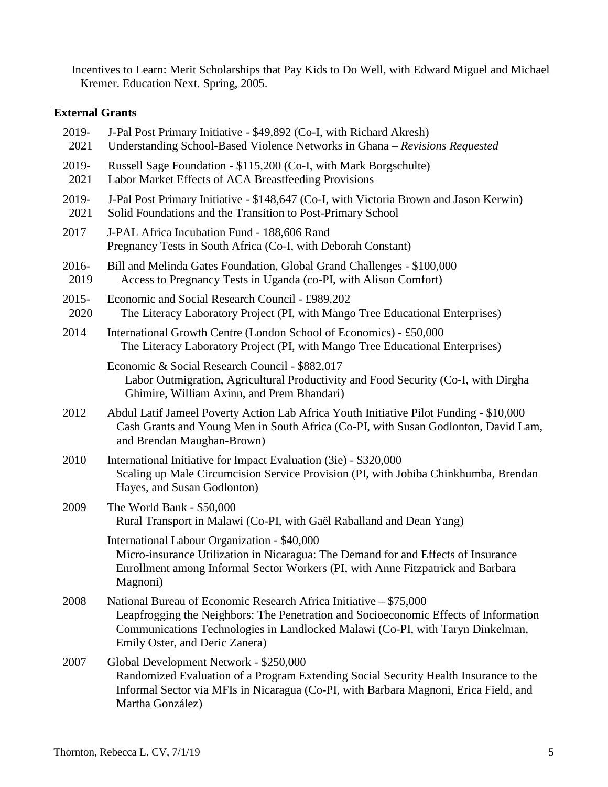Incentives to Learn: Merit Scholarships that Pay Kids to Do Well, with Edward Miguel and Michael Kremer. Education Next. Spring, 2005.

# **External Grants**

| 2019-<br>2021    | J-Pal Post Primary Initiative - \$49,892 (Co-I, with Richard Akresh)<br>Understanding School-Based Violence Networks in Ghana - Revisions Requested                                                                                                                           |
|------------------|-------------------------------------------------------------------------------------------------------------------------------------------------------------------------------------------------------------------------------------------------------------------------------|
| 2019-<br>2021    | Russell Sage Foundation - \$115,200 (Co-I, with Mark Borgschulte)<br>Labor Market Effects of ACA Breastfeeding Provisions                                                                                                                                                     |
| 2019-<br>2021    | J-Pal Post Primary Initiative - \$148,647 (Co-I, with Victoria Brown and Jason Kerwin)<br>Solid Foundations and the Transition to Post-Primary School                                                                                                                         |
| 2017             | J-PAL Africa Incubation Fund - 188,606 Rand<br>Pregnancy Tests in South Africa (Co-I, with Deborah Constant)                                                                                                                                                                  |
| 2016-<br>2019    | Bill and Melinda Gates Foundation, Global Grand Challenges - \$100,000<br>Access to Pregnancy Tests in Uganda (co-PI, with Alison Comfort)                                                                                                                                    |
| $2015 -$<br>2020 | Economic and Social Research Council - £989,202<br>The Literacy Laboratory Project (PI, with Mango Tree Educational Enterprises)                                                                                                                                              |
| 2014             | International Growth Centre (London School of Economics) - £50,000<br>The Literacy Laboratory Project (PI, with Mango Tree Educational Enterprises)                                                                                                                           |
|                  | Economic & Social Research Council - \$882,017<br>Labor Outmigration, Agricultural Productivity and Food Security (Co-I, with Dirgha<br>Ghimire, William Axinn, and Prem Bhandari)                                                                                            |
| 2012             | Abdul Latif Jameel Poverty Action Lab Africa Youth Initiative Pilot Funding - \$10,000<br>Cash Grants and Young Men in South Africa (Co-PI, with Susan Godlonton, David Lam,<br>and Brendan Maughan-Brown)                                                                    |
| 2010             | International Initiative for Impact Evaluation (3ie) - \$320,000<br>Scaling up Male Circumcision Service Provision (PI, with Jobiba Chinkhumba, Brendan<br>Hayes, and Susan Godlonton)                                                                                        |
| 2009             | The World Bank - \$50,000<br>Rural Transport in Malawi (Co-PI, with Gaël Raballand and Dean Yang)                                                                                                                                                                             |
|                  | International Labour Organization - \$40,000<br>Micro-insurance Utilization in Nicaragua: The Demand for and Effects of Insurance<br>Enrollment among Informal Sector Workers (PI, with Anne Fitzpatrick and Barbara<br>Magnoni)                                              |
| 2008             | National Bureau of Economic Research Africa Initiative – \$75,000<br>Leapfrogging the Neighbors: The Penetration and Socioeconomic Effects of Information<br>Communications Technologies in Landlocked Malawi (Co-PI, with Taryn Dinkelman,<br>Emily Oster, and Deric Zanera) |
| 2007             | Global Development Network - \$250,000<br>Randomized Evaluation of a Program Extending Social Security Health Insurance to the<br>Informal Sector via MFIs in Nicaragua (Co-PI, with Barbara Magnoni, Erica Field, and<br>Martha González)                                    |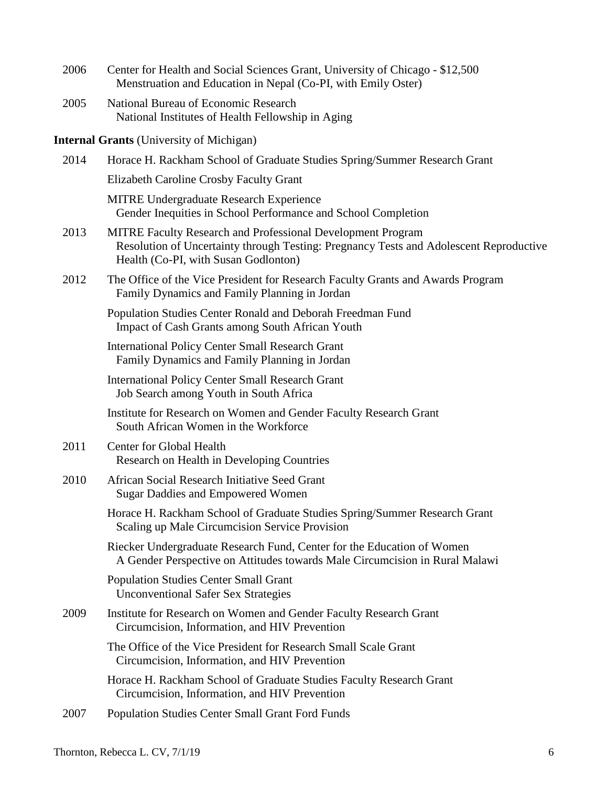| 2006 | Center for Health and Social Sciences Grant, University of Chicago - \$12,500<br>Menstruation and Education in Nepal (Co-PI, with Emily Oster)                                                       |
|------|------------------------------------------------------------------------------------------------------------------------------------------------------------------------------------------------------|
| 2005 | National Bureau of Economic Research<br>National Institutes of Health Fellowship in Aging                                                                                                            |
|      | <b>Internal Grants</b> (University of Michigan)                                                                                                                                                      |
| 2014 | Horace H. Rackham School of Graduate Studies Spring/Summer Research Grant                                                                                                                            |
|      | Elizabeth Caroline Crosby Faculty Grant                                                                                                                                                              |
|      | <b>MITRE Undergraduate Research Experience</b><br>Gender Inequities in School Performance and School Completion                                                                                      |
| 2013 | <b>MITRE Faculty Research and Professional Development Program</b><br>Resolution of Uncertainty through Testing: Pregnancy Tests and Adolescent Reproductive<br>Health (Co-PI, with Susan Godlonton) |
| 2012 | The Office of the Vice President for Research Faculty Grants and Awards Program<br>Family Dynamics and Family Planning in Jordan                                                                     |
|      | Population Studies Center Ronald and Deborah Freedman Fund<br><b>Impact of Cash Grants among South African Youth</b>                                                                                 |
|      | <b>International Policy Center Small Research Grant</b><br>Family Dynamics and Family Planning in Jordan                                                                                             |
|      | <b>International Policy Center Small Research Grant</b><br>Job Search among Youth in South Africa                                                                                                    |
|      | Institute for Research on Women and Gender Faculty Research Grant<br>South African Women in the Workforce                                                                                            |
| 2011 | <b>Center for Global Health</b><br>Research on Health in Developing Countries                                                                                                                        |
| 2010 | African Social Research Initiative Seed Grant<br><b>Sugar Daddies and Empowered Women</b>                                                                                                            |
|      | Horace H. Rackham School of Graduate Studies Spring/Summer Research Grant<br>Scaling up Male Circumcision Service Provision                                                                          |
|      | Riecker Undergraduate Research Fund, Center for the Education of Women<br>A Gender Perspective on Attitudes towards Male Circumcision in Rural Malawi                                                |
|      | <b>Population Studies Center Small Grant</b><br><b>Unconventional Safer Sex Strategies</b>                                                                                                           |
| 2009 | Institute for Research on Women and Gender Faculty Research Grant<br>Circumcision, Information, and HIV Prevention                                                                                   |
|      | The Office of the Vice President for Research Small Scale Grant<br>Circumcision, Information, and HIV Prevention                                                                                     |
|      | Horace H. Rackham School of Graduate Studies Faculty Research Grant<br>Circumcision, Information, and HIV Prevention                                                                                 |
| 2007 | <b>Population Studies Center Small Grant Ford Funds</b>                                                                                                                                              |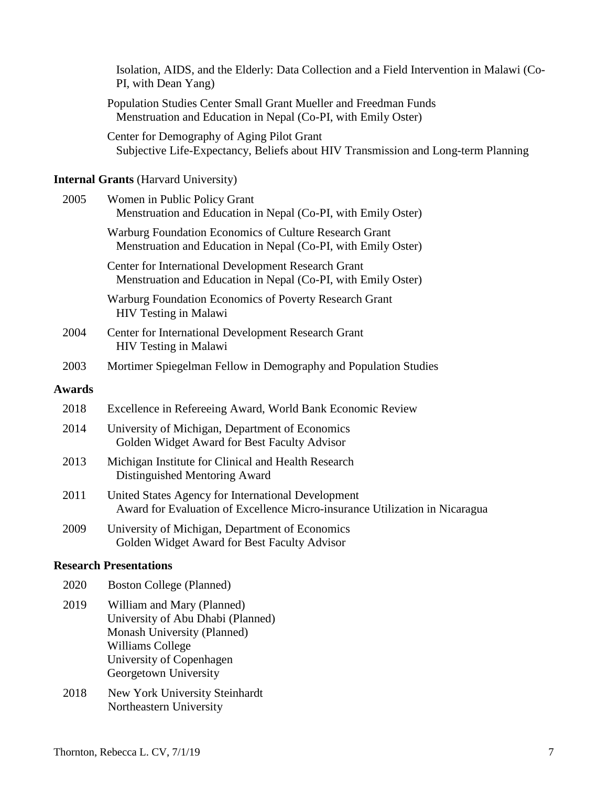|               | Isolation, AIDS, and the Elderly: Data Collection and a Field Intervention in Malawi (Co-<br>PI, with Dean Yang)                                                               |
|---------------|--------------------------------------------------------------------------------------------------------------------------------------------------------------------------------|
|               | Population Studies Center Small Grant Mueller and Freedman Funds<br>Menstruation and Education in Nepal (Co-PI, with Emily Oster)                                              |
|               | Center for Demography of Aging Pilot Grant<br>Subjective Life-Expectancy, Beliefs about HIV Transmission and Long-term Planning                                                |
|               | <b>Internal Grants (Harvard University)</b>                                                                                                                                    |
| 2005          | Women in Public Policy Grant<br>Menstruation and Education in Nepal (Co-PI, with Emily Oster)                                                                                  |
|               | Warburg Foundation Economics of Culture Research Grant<br>Menstruation and Education in Nepal (Co-PI, with Emily Oster)                                                        |
|               | Center for International Development Research Grant<br>Menstruation and Education in Nepal (Co-PI, with Emily Oster)                                                           |
|               | Warburg Foundation Economics of Poverty Research Grant<br><b>HIV Testing in Malawi</b>                                                                                         |
| 2004          | Center for International Development Research Grant<br><b>HIV Testing in Malawi</b>                                                                                            |
| 2003          | Mortimer Spiegelman Fellow in Demography and Population Studies                                                                                                                |
| <b>Awards</b> |                                                                                                                                                                                |
| 2018          | Excellence in Refereeing Award, World Bank Economic Review                                                                                                                     |
| 2014          | University of Michigan, Department of Economics<br>Golden Widget Award for Best Faculty Advisor                                                                                |
| 2013          | Michigan Institute for Clinical and Health Research<br>Distinguished Mentoring Award                                                                                           |
| 2011          | United States Agency for International Development<br>Award for Evaluation of Excellence Micro-insurance Utilization in Nicaragua                                              |
| 2009          | University of Michigan, Department of Economics<br>Golden Widget Award for Best Faculty Advisor                                                                                |
|               | <b>Research Presentations</b>                                                                                                                                                  |
| 2020          | <b>Boston College (Planned)</b>                                                                                                                                                |
| 2019          | William and Mary (Planned)<br>University of Abu Dhabi (Planned)<br>Monash University (Planned)<br><b>Williams College</b><br>University of Copenhagen<br>Georgetown University |
| 2018          | New York University Steinhardt<br>Northeastern University                                                                                                                      |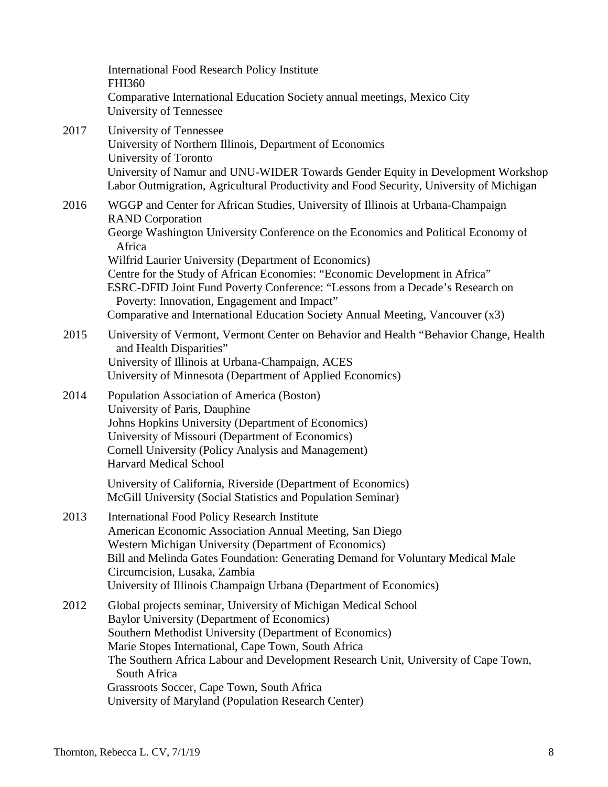|      | <b>International Food Research Policy Institute</b><br><b>FHI360</b><br>Comparative International Education Society annual meetings, Mexico City<br>University of Tennessee                                                                                                                                                                                                                                                                                                                                                                                        |
|------|--------------------------------------------------------------------------------------------------------------------------------------------------------------------------------------------------------------------------------------------------------------------------------------------------------------------------------------------------------------------------------------------------------------------------------------------------------------------------------------------------------------------------------------------------------------------|
| 2017 | University of Tennessee<br>University of Northern Illinois, Department of Economics<br>University of Toronto<br>University of Namur and UNU-WIDER Towards Gender Equity in Development Workshop<br>Labor Outmigration, Agricultural Productivity and Food Security, University of Michigan                                                                                                                                                                                                                                                                         |
| 2016 | WGGP and Center for African Studies, University of Illinois at Urbana-Champaign<br><b>RAND</b> Corporation<br>George Washington University Conference on the Economics and Political Economy of<br>Africa<br>Wilfrid Laurier University (Department of Economics)<br>Centre for the Study of African Economies: "Economic Development in Africa"<br>ESRC-DFID Joint Fund Poverty Conference: "Lessons from a Decade's Research on<br>Poverty: Innovation, Engagement and Impact"<br>Comparative and International Education Society Annual Meeting, Vancouver (x3) |
| 2015 | University of Vermont, Vermont Center on Behavior and Health "Behavior Change, Health<br>and Health Disparities"<br>University of Illinois at Urbana-Champaign, ACES<br>University of Minnesota (Department of Applied Economics)                                                                                                                                                                                                                                                                                                                                  |
| 2014 | Population Association of America (Boston)<br>University of Paris, Dauphine<br>Johns Hopkins University (Department of Economics)<br>University of Missouri (Department of Economics)<br><b>Cornell University (Policy Analysis and Management)</b><br><b>Harvard Medical School</b>                                                                                                                                                                                                                                                                               |
|      | University of California, Riverside (Department of Economics)<br>McGill University (Social Statistics and Population Seminar)                                                                                                                                                                                                                                                                                                                                                                                                                                      |
| 2013 | <b>International Food Policy Research Institute</b><br>American Economic Association Annual Meeting, San Diego<br>Western Michigan University (Department of Economics)<br>Bill and Melinda Gates Foundation: Generating Demand for Voluntary Medical Male<br>Circumcision, Lusaka, Zambia<br>University of Illinois Champaign Urbana (Department of Economics)                                                                                                                                                                                                    |
| 2012 | Global projects seminar, University of Michigan Medical School<br><b>Baylor University (Department of Economics)</b><br>Southern Methodist University (Department of Economics)<br>Marie Stopes International, Cape Town, South Africa<br>The Southern Africa Labour and Development Research Unit, University of Cape Town,<br>South Africa<br>Grassroots Soccer, Cape Town, South Africa<br>University of Maryland (Population Research Center)                                                                                                                  |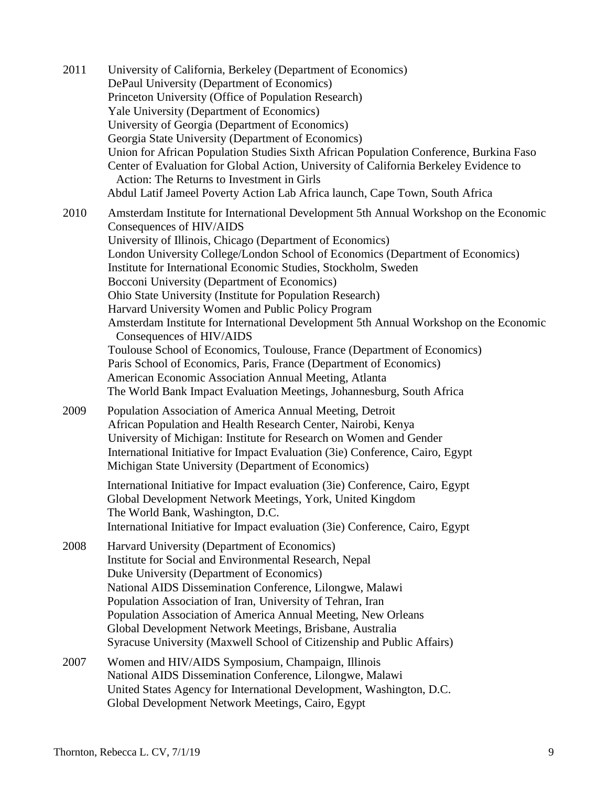2011 University of California, Berkeley (Department of Economics) DePaul University (Department of Economics) Princeton University (Office of Population Research) Yale University (Department of Economics) University of Georgia (Department of Economics) Georgia State University (Department of Economics) Union for African Population Studies Sixth African Population Conference, Burkina Faso Center of Evaluation for Global Action, University of California Berkeley Evidence to Action: The Returns to Investment in Girls Abdul Latif Jameel Poverty Action Lab Africa launch, Cape Town, South Africa 2010 Amsterdam Institute for International Development 5th Annual Workshop on the Economic Consequences of HIV/AIDS University of Illinois, Chicago (Department of Economics) London University College/London School of Economics (Department of Economics) Institute for International Economic Studies, Stockholm, Sweden Bocconi University (Department of Economics) Ohio State University (Institute for Population Research) Harvard University Women and Public Policy Program Amsterdam Institute for International Development 5th Annual Workshop on the Economic Consequences of HIV/AIDS Toulouse School of Economics, Toulouse, France (Department of Economics) Paris School of Economics, Paris, France (Department of Economics) American Economic Association Annual Meeting, Atlanta The World Bank Impact Evaluation Meetings, Johannesburg, South Africa 2009 Population Association of America Annual Meeting, Detroit African Population and Health Research Center, Nairobi, Kenya University of Michigan: Institute for Research on Women and Gender International Initiative for Impact Evaluation (3ie) Conference, Cairo, Egypt Michigan State University (Department of Economics) International Initiative for Impact evaluation (3ie) Conference, Cairo, Egypt Global Development Network Meetings, York, United Kingdom The World Bank, Washington, D.C. International Initiative for Impact evaluation (3ie) Conference, Cairo, Egypt 2008 Harvard University (Department of Economics) Institute for Social and Environmental Research, Nepal Duke University (Department of Economics) National AIDS Dissemination Conference, Lilongwe, Malawi Population Association of Iran, University of Tehran, Iran Population Association of America Annual Meeting, New Orleans Global Development Network Meetings, Brisbane, Australia Syracuse University (Maxwell School of Citizenship and Public Affairs) 2007 Women and HIV/AIDS Symposium, Champaign, Illinois National AIDS Dissemination Conference, Lilongwe, Malawi United States Agency for International Development, Washington, D.C. Global Development Network Meetings, Cairo, Egypt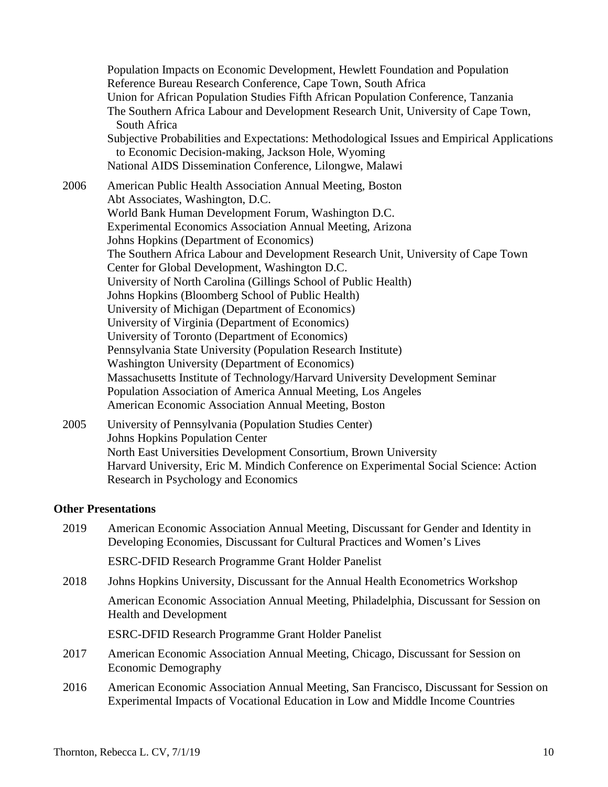Population Impacts on Economic Development, Hewlett Foundation and Population Reference Bureau Research Conference, Cape Town, South Africa Union for African Population Studies Fifth African Population Conference, Tanzania The Southern Africa Labour and Development Research Unit, University of Cape Town, South Africa Subjective Probabilities and Expectations: Methodological Issues and Empirical Applications to Economic Decision-making, Jackson Hole, Wyoming National AIDS Dissemination Conference, Lilongwe, Malawi 2006 American Public Health Association Annual Meeting, Boston Abt Associates, Washington, D.C. World Bank Human Development Forum, Washington D.C. Experimental Economics Association Annual Meeting, Arizona Johns Hopkins (Department of Economics) The Southern Africa Labour and Development Research Unit, University of Cape Town Center for Global Development, Washington D.C. University of North Carolina (Gillings School of Public Health) Johns Hopkins (Bloomberg School of Public Health) University of Michigan (Department of Economics) University of Virginia (Department of Economics) University of Toronto (Department of Economics) Pennsylvania State University (Population Research Institute) Washington University (Department of Economics) Massachusetts Institute of Technology/Harvard University Development Seminar Population Association of America Annual Meeting, Los Angeles American Economic Association Annual Meeting, Boston 2005 University of Pennsylvania (Population Studies Center)

Johns Hopkins Population Center North East Universities Development Consortium, Brown University Harvard University, Eric M. Mindich Conference on Experimental Social Science: Action Research in Psychology and Economics

### **Other Presentations**

2019 American Economic Association Annual Meeting, Discussant for Gender and Identity in Developing Economies, Discussant for Cultural Practices and Women's Lives

ESRC-DFID Research Programme Grant Holder Panelist

- 2018 Johns Hopkins University, Discussant for the Annual Health Econometrics Workshop American Economic Association Annual Meeting, Philadelphia, Discussant for Session on Health and Development ESRC-DFID Research Programme Grant Holder Panelist
- 2017 American Economic Association Annual Meeting, Chicago, Discussant for Session on Economic Demography
- 2016 American Economic Association Annual Meeting, San Francisco, Discussant for Session on Experimental Impacts of Vocational Education in Low and Middle Income Countries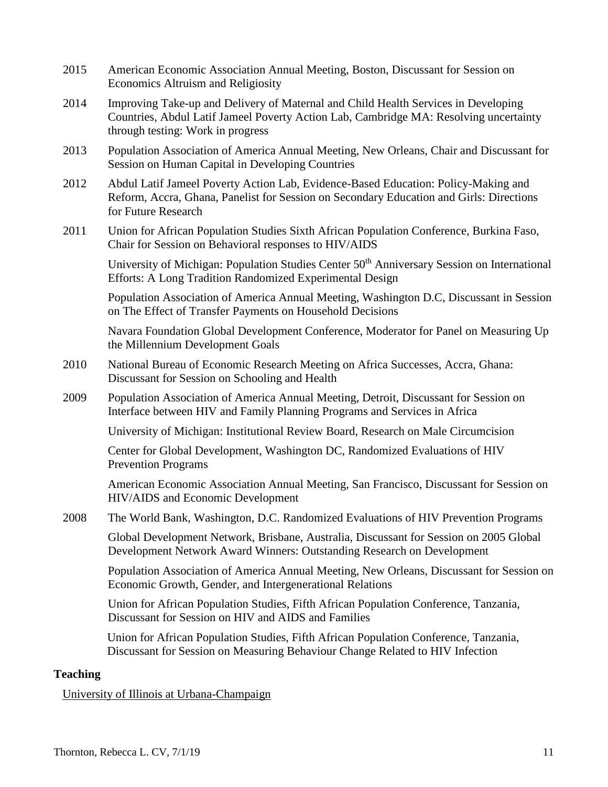- 2015 American Economic Association Annual Meeting, Boston, Discussant for Session on Economics Altruism and Religiosity
- 2014 Improving Take-up and Delivery of Maternal and Child Health Services in Developing Countries, Abdul Latif Jameel Poverty Action Lab, Cambridge MA: Resolving uncertainty through testing: Work in progress
- 2013 Population Association of America Annual Meeting, New Orleans, Chair and Discussant for Session on Human Capital in Developing Countries
- 2012 Abdul Latif Jameel Poverty Action Lab, Evidence-Based Education: Policy-Making and Reform, Accra, Ghana, Panelist for Session on Secondary Education and Girls: Directions for Future Research
- 2011 Union for African Population Studies Sixth African Population Conference, Burkina Faso, Chair for Session on Behavioral responses to HIV/AIDS

University of Michigan: Population Studies Center 50<sup>th</sup> Anniversary Session on International Efforts: A Long Tradition Randomized Experimental Design

Population Association of America Annual Meeting, Washington D.C, Discussant in Session on The Effect of Transfer Payments on Household Decisions

Navara Foundation Global Development Conference, Moderator for Panel on Measuring Up the Millennium Development Goals

- 2010 National Bureau of Economic Research Meeting on Africa Successes, Accra, Ghana: Discussant for Session on Schooling and Health
- 2009 Population Association of America Annual Meeting, Detroit, Discussant for Session on Interface between HIV and Family Planning Programs and Services in Africa

University of Michigan: Institutional Review Board, Research on Male Circumcision

Center for Global Development, Washington DC, Randomized Evaluations of HIV Prevention Programs

American Economic Association Annual Meeting, San Francisco, Discussant for Session on HIV/AIDS and Economic Development

2008 The World Bank, Washington, D.C. Randomized Evaluations of HIV Prevention Programs

Global Development Network, Brisbane, Australia, Discussant for Session on 2005 Global Development Network Award Winners: Outstanding Research on Development

Population Association of America Annual Meeting, New Orleans, Discussant for Session on Economic Growth, Gender, and Intergenerational Relations

Union for African Population Studies, Fifth African Population Conference, Tanzania, Discussant for Session on HIV and AIDS and Families

Union for African Population Studies, Fifth African Population Conference, Tanzania, Discussant for Session on Measuring Behaviour Change Related to HIV Infection

## **Teaching**

### University of Illinois at Urbana-Champaign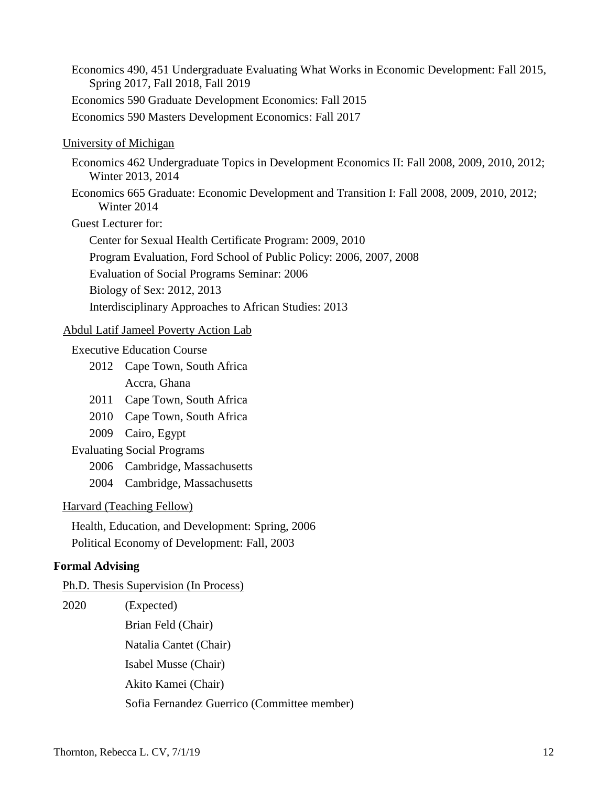Economics 490, 451 Undergraduate Evaluating What Works in Economic Development: Fall 2015, Spring 2017, Fall 2018, Fall 2019 Economics 590 Graduate Development Economics: Fall 2015 Economics 590 Masters Development Economics: Fall 2017

### University of Michigan

- Economics 462 Undergraduate Topics in Development Economics II: Fall 2008, 2009, 2010, 2012; Winter 2013, 2014
- Economics 665 Graduate: Economic Development and Transition I: Fall 2008, 2009, 2010, 2012; Winter 2014

Guest Lecturer for:

Center for Sexual Health Certificate Program: 2009, 2010 Program Evaluation, Ford School of Public Policy: 2006, 2007, 2008 Evaluation of Social Programs Seminar: 2006 Biology of Sex: 2012, 2013 Interdisciplinary Approaches to African Studies: 2013

#### Abdul Latif Jameel Poverty Action Lab

Executive Education Course

- 2012 Cape Town, South Africa Accra, Ghana
- 2011 Cape Town, South Africa
- 2010 Cape Town, South Africa
- 2009 Cairo, Egypt
- Evaluating Social Programs
	- 2006 Cambridge, Massachusetts
	- 2004 Cambridge, Massachusetts

Harvard (Teaching Fellow)

Health, Education, and Development: Spring, 2006 Political Economy of Development: Fall, 2003

#### **Formal Advising**

Ph.D. Thesis Supervision (In Process)

| 2020 | (Expected)                                  |
|------|---------------------------------------------|
|      | Brian Feld (Chair)                          |
|      | Natalia Cantet (Chair)                      |
|      | Isabel Musse (Chair)                        |
|      | Akito Kamei (Chair)                         |
|      | Sofia Fernandez Guerrico (Committee member) |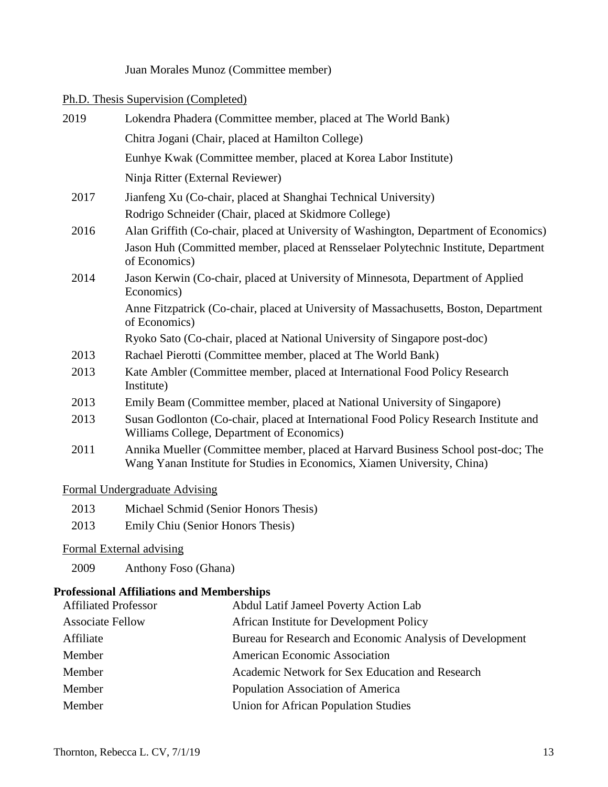## Juan Morales Munoz (Committee member)

### Ph.D. Thesis Supervision (Completed)

| 2019 | Lokendra Phadera (Committee member, placed at The World Bank)                                                                                                 |
|------|---------------------------------------------------------------------------------------------------------------------------------------------------------------|
|      | Chitra Jogani (Chair, placed at Hamilton College)                                                                                                             |
|      | Eunhye Kwak (Committee member, placed at Korea Labor Institute)                                                                                               |
|      | Ninja Ritter (External Reviewer)                                                                                                                              |
| 2017 | Jianfeng Xu (Co-chair, placed at Shanghai Technical University)                                                                                               |
|      | Rodrigo Schneider (Chair, placed at Skidmore College)                                                                                                         |
| 2016 | Alan Griffith (Co-chair, placed at University of Washington, Department of Economics)                                                                         |
|      | Jason Huh (Committed member, placed at Rensselaer Polytechnic Institute, Department<br>of Economics)                                                          |
| 2014 | Jason Kerwin (Co-chair, placed at University of Minnesota, Department of Applied<br>Economics)                                                                |
|      | Anne Fitzpatrick (Co-chair, placed at University of Massachusetts, Boston, Department<br>of Economics)                                                        |
|      | Ryoko Sato (Co-chair, placed at National University of Singapore post-doc)                                                                                    |
| 2013 | Rachael Pierotti (Committee member, placed at The World Bank)                                                                                                 |
| 2013 | Kate Ambler (Committee member, placed at International Food Policy Research<br>Institute)                                                                     |
| 2013 | Emily Beam (Committee member, placed at National University of Singapore)                                                                                     |
| 2013 | Susan Godlonton (Co-chair, placed at International Food Policy Research Institute and<br>Williams College, Department of Economics)                           |
| 2011 | Annika Mueller (Committee member, placed at Harvard Business School post-doc; The<br>Wang Yanan Institute for Studies in Economics, Xiamen University, China) |
|      |                                                                                                                                                               |

## Formal Undergraduate Advising

- 2013 Michael Schmid (Senior Honors Thesis)
- 2013 Emily Chiu (Senior Honors Thesis)

## Formal External advising

2009 Anthony Foso (Ghana)

# **Professional Affiliations and Memberships**

| <b>Affiliated Professor</b> | Abdul Latif Jameel Poverty Action Lab                    |
|-----------------------------|----------------------------------------------------------|
| <b>Associate Fellow</b>     | African Institute for Development Policy                 |
| Affiliate                   | Bureau for Research and Economic Analysis of Development |
| Member                      | American Economic Association                            |
| Member                      | Academic Network for Sex Education and Research          |
| Member                      | Population Association of America                        |
| Member                      | <b>Union for African Population Studies</b>              |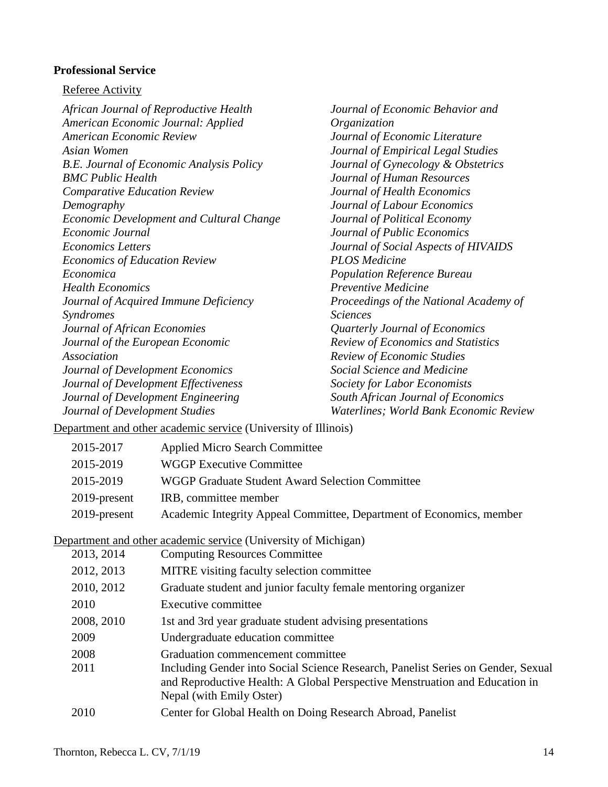### **Professional Service**

#### Referee Activity

*African Journal of Reproductive Health American Economic Journal: Applied American Economic Review Asian Women B.E. Journal of Economic Analysis Policy BMC Public Health Comparative Education Review Demography Economic Development and Cultural Change Economic Journal Economics Letters Economics of Education Review Economica Health Economics Journal of Acquired Immune Deficiency Syndromes Journal of African Economies Journal of the European Economic Association Journal of Development Economics Journal of Development Effectiveness Journal of Development Engineering Journal of Development Studies*

*Journal of Economic Behavior and Organization Journal of Economic Literature Journal of Empirical Legal Studies Journal of Gynecology & Obstetrics Journal of Human Resources Journal of Health Economics Journal of Labour Economics Journal of Political Economy Journal of Public Economics Journal of Social Aspects of HIVAIDS PLOS Medicine Population Reference Bureau Preventive Medicine Proceedings of the National Academy of Sciences Quarterly Journal of Economics Review of Economics and Statistics Review of Economic Studies Social Science and Medicine Society for Labor Economists South African Journal of Economics Waterlines; World Bank Economic Review*

Department and other academic service (University of Illinois)

| 2015-2017       | <b>Applied Micro Search Committee</b>                                |
|-----------------|----------------------------------------------------------------------|
| 2015-2019       | <b>WGGP Executive Committee</b>                                      |
| 2015-2019       | WGGP Graduate Student Award Selection Committee                      |
| $2019$ -present | IRB, committee member                                                |
| 2019-present    | Academic Integrity Appeal Committee, Department of Economics, member |
|                 |                                                                      |

Department and other academic service (University of Michigan)

| 2013, 2014 | <b>Computing Resources Committee</b>                                                                                                                                                        |
|------------|---------------------------------------------------------------------------------------------------------------------------------------------------------------------------------------------|
| 2012, 2013 | MITRE visiting faculty selection committee                                                                                                                                                  |
| 2010, 2012 | Graduate student and junior faculty female mentoring organizer                                                                                                                              |
| 2010       | Executive committee                                                                                                                                                                         |
| 2008, 2010 | 1st and 3rd year graduate student advising presentations                                                                                                                                    |
| 2009       | Undergraduate education committee                                                                                                                                                           |
| 2008       | Graduation commencement committee                                                                                                                                                           |
| 2011       | Including Gender into Social Science Research, Panelist Series on Gender, Sexual<br>and Reproductive Health: A Global Perspective Menstruation and Education in<br>Nepal (with Emily Oster) |
| 2010       | Center for Global Health on Doing Research Abroad, Panelist                                                                                                                                 |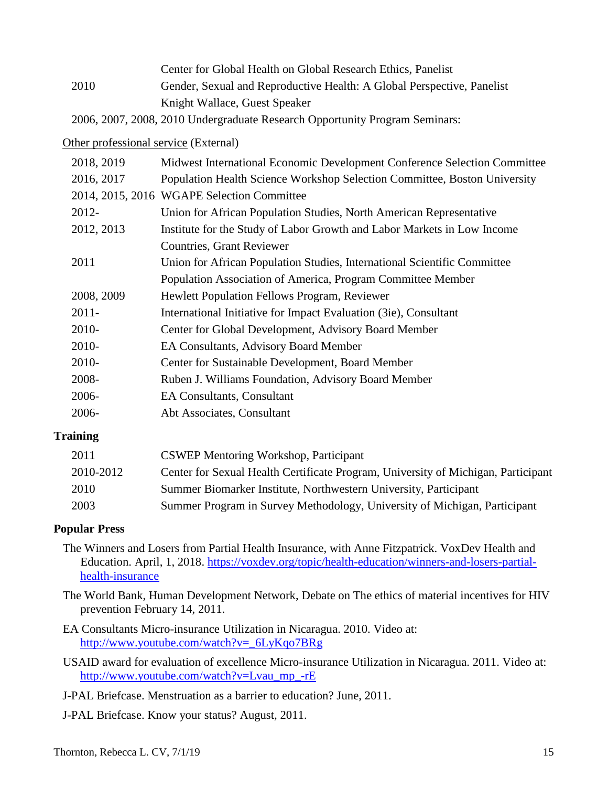Center for Global Health on Global Research Ethics, Panelist 2010 Gender, Sexual and Reproductive Health: A Global Perspective, Panelist Knight Wallace, Guest Speaker

2006, 2007, 2008, 2010 Undergraduate Research Opportunity Program Seminars:

Other professional service (External)

| 2018, 2019 | Midwest International Economic Development Conference Selection Committee |
|------------|---------------------------------------------------------------------------|
| 2016, 2017 | Population Health Science Workshop Selection Committee, Boston University |
|            | 2014, 2015, 2016 WGAPE Selection Committee                                |
| 2012-      | Union for African Population Studies, North American Representative       |
| 2012, 2013 | Institute for the Study of Labor Growth and Labor Markets in Low Income   |
|            | <b>Countries, Grant Reviewer</b>                                          |
| 2011       | Union for African Population Studies, International Scientific Committee  |
|            | Population Association of America, Program Committee Member               |
| 2008, 2009 | <b>Hewlett Population Fellows Program, Reviewer</b>                       |
| $2011 -$   | International Initiative for Impact Evaluation (3ie), Consultant          |
| 2010-      | Center for Global Development, Advisory Board Member                      |
| 2010-      | <b>EA Consultants, Advisory Board Member</b>                              |
| 2010-      | Center for Sustainable Development, Board Member                          |
| 2008-      | Ruben J. Williams Foundation, Advisory Board Member                       |
| 2006-      | <b>EA Consultants, Consultant</b>                                         |
| 2006-      | Abt Associates, Consultant                                                |
|            |                                                                           |

## **Training**

| <b>CSWEP Mentoring Workshop, Participant</b>                                      |
|-----------------------------------------------------------------------------------|
| Center for Sexual Health Certificate Program, University of Michigan, Participant |
| Summer Biomarker Institute, Northwestern University, Participant                  |
| Summer Program in Survey Methodology, University of Michigan, Participant         |
|                                                                                   |

## **Popular Press**

- The Winners and Losers from Partial Health Insurance, with Anne Fitzpatrick. VoxDev Health and Education. April, 1, 2018. [https://voxdev.org/topic/health-education/winners-and-losers-partial](https://voxdev.org/topic/health-education/winners-and-losers-partial-health-insurance)[health-insurance](https://voxdev.org/topic/health-education/winners-and-losers-partial-health-insurance)
- The World Bank, Human Development Network, Debate on The ethics of material incentives for HIV prevention February 14, 2011.
- EA Consultants Micro-insurance Utilization in Nicaragua. 2010. Video at: [http://www.youtube.com/watch?v=\\_6LyKqo7BRg](http://www.youtube.com/watch?v=_6LyKqo7BRg)
- USAID award for evaluation of excellence Micro-insurance Utilization in Nicaragua. 2011. Video at: [http://www.youtube.com/watch?v=Lvau\\_mp\\_-rE](http://www.youtube.com/watch?v=Lvau_mp_-rE)
- J-PAL Briefcase. Menstruation as a barrier to education? June, 2011.
- J-PAL Briefcase. Know your status? August, 2011.